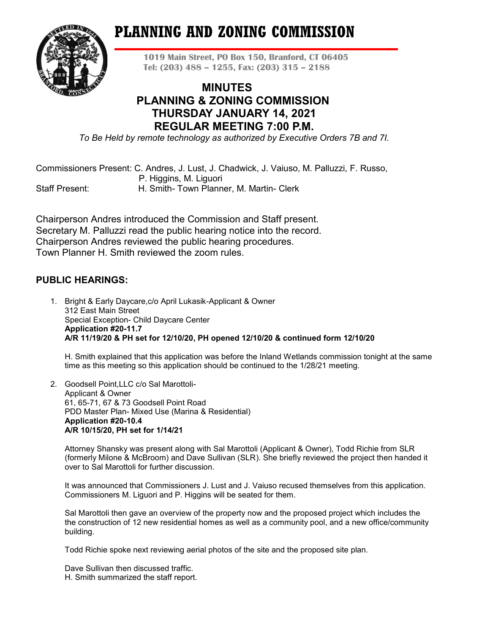# **PLANNING AND ZONING COMMISSION**



**1019 Main Street, PO Box 150, Branford, CT 06405 Tel: (203) 488 – 1255, Fax: (203) 315 – 2188**

# **MINUTES PLANNING & ZONING COMMISSION THURSDAY JANUARY 14, 2021 REGULAR MEETING 7:00 P.M.**

*To Be Held by remote technology as authorized by Executive Orders 7B and 7I.*

Commissioners Present: C. Andres, J. Lust, J. Chadwick, J. Vaiuso, M. Palluzzi, F. Russo, P. Higgins, M. Liguori

Staff Present: H. Smith- Town Planner, M. Martin- Clerk

Chairperson Andres introduced the Commission and Staff present. Secretary M. Palluzzi read the public hearing notice into the record. Chairperson Andres reviewed the public hearing procedures. Town Planner H. Smith reviewed the zoom rules.

# **PUBLIC HEARINGS:**

1. Bright & Early Daycare,c/o April Lukasik-Applicant & Owner 312 East Main Street Special Exception- Child Daycare Center **Application #20-11.7 A/R 11/19/20 & PH set for 12/10/20, PH opened 12/10/20 & continued form 12/10/20**

H. Smith explained that this application was before the Inland Wetlands commission tonight at the same time as this meeting so this application should be continued to the 1/28/21 meeting.

2. Goodsell Point,LLC c/o Sal Marottoli-Applicant & Owner 61, 65-71, 67 & 73 Goodsell Point Road PDD Master Plan- Mixed Use (Marina & Residential) **Application #20-10.4 A/R 10/15/20, PH set for 1/14/21**

Attorney Shansky was present along with Sal Marottoli (Applicant & Owner), Todd Richie from SLR (formerly Milone & McBroom) and Dave Sullivan (SLR). She briefly reviewed the project then handed it over to Sal Marottoli for further discussion.

It was announced that Commissioners J. Lust and J. Vaiuso recused themselves from this application. Commissioners M. Liguori and P. Higgins will be seated for them.

Sal Marottoli then gave an overview of the property now and the proposed project which includes the the construction of 12 new residential homes as well as a community pool, and a new office/community building.

Todd Richie spoke next reviewing aerial photos of the site and the proposed site plan.

Dave Sullivan then discussed traffic. H. Smith summarized the staff report.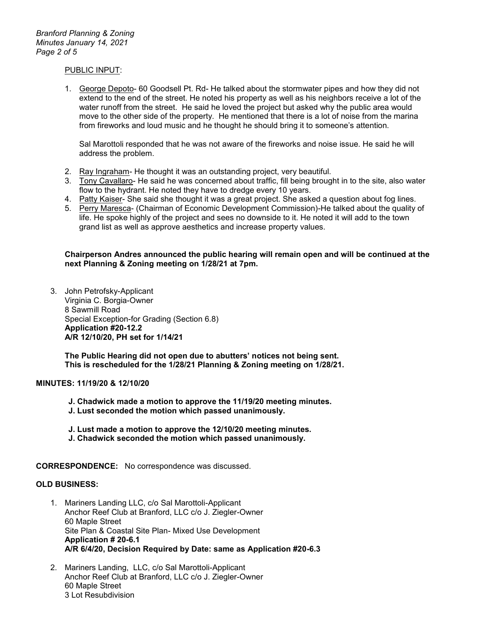### PUBLIC INPUT:

1. George Depoto- 60 Goodsell Pt. Rd- He talked about the stormwater pipes and how they did not extend to the end of the street. He noted his property as well as his neighbors receive a lot of the water runoff from the street. He said he loved the project but asked why the public area would move to the other side of the property. He mentioned that there is a lot of noise from the marina from fireworks and loud music and he thought he should bring it to someone's attention.

Sal Marottoli responded that he was not aware of the fireworks and noise issue. He said he will address the problem.

- 2. Ray Ingraham- He thought it was an outstanding project, very beautiful.
- 3. Tony Cavallaro- He said he was concerned about traffic, fill being brought in to the site, also water flow to the hydrant. He noted they have to dredge every 10 years.
- 4. Patty Kaiser- She said she thought it was a great project. She asked a question about fog lines.
- 5. Perry Maresca- (Chairman of Economic Development Commission)-He talked about the quality of life. He spoke highly of the project and sees no downside to it. He noted it will add to the town grand list as well as approve aesthetics and increase property values.

**Chairperson Andres announced the public hearing will remain open and will be continued at the next Planning & Zoning meeting on 1/28/21 at 7pm.**

3. John Petrofsky-Applicant Virginia C. Borgia-Owner 8 Sawmill Road Special Exception-for Grading (Section 6.8) **Application #20-12.2 A/R 12/10/20, PH set for 1/14/21**

**The Public Hearing did not open due to abutters' notices not being sent. This is rescheduled for the 1/28/21 Planning & Zoning meeting on 1/28/21.**

## **MINUTES: 11/19/20 & 12/10/20**

- **J. Chadwick made a motion to approve the 11/19/20 meeting minutes.**
- **J. Lust seconded the motion which passed unanimously.**
- **J. Lust made a motion to approve the 12/10/20 meeting minutes.**
- **J. Chadwick seconded the motion which passed unanimously.**

**CORRESPONDENCE:** No correspondence was discussed.

#### **OLD BUSINESS:**

- 1. Mariners Landing LLC, c/o Sal Marottoli-Applicant Anchor Reef Club at Branford, LLC c/o J. Ziegler-Owner 60 Maple Street Site Plan & Coastal Site Plan- Mixed Use Development **Application # 20-6.1 A/R 6/4/20, Decision Required by Date: same as Application #20-6.3**
- 2. Mariners Landing, LLC, c/o Sal Marottoli-Applicant Anchor Reef Club at Branford, LLC c/o J. Ziegler-Owner 60 Maple Street 3 Lot Resubdivision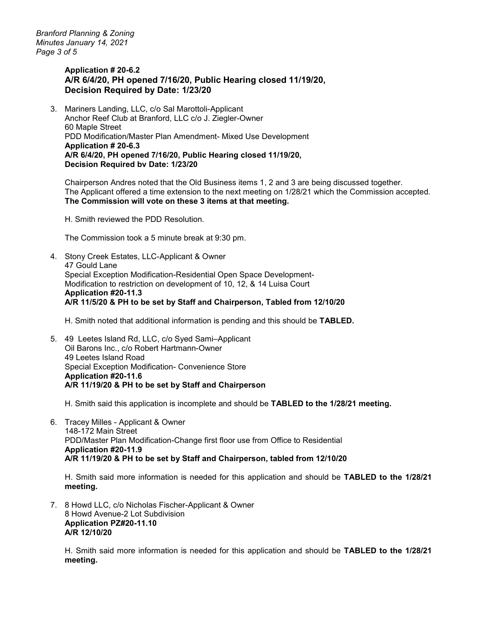*Branford Planning & Zoning Minutes January 14, 2021 Page 3 of 5*

## **Application # 20-6.2 A/R 6/4/20, PH opened 7/16/20, Public Hearing closed 11/19/20, Decision Required by Date: 1/23/20**

3. Mariners Landing, LLC, c/o Sal Marottoli-Applicant Anchor Reef Club at Branford, LLC c/o J. Ziegler-Owner 60 Maple Street PDD Modification/Master Plan Amendment- Mixed Use Development **Application # 20-6.3 A/R 6/4/20, PH opened 7/16/20, Public Hearing closed 11/19/20, Decision Required bv Date: 1/23/20**

Chairperson Andres noted that the Old Business items 1, 2 and 3 are being discussed together. The Applicant offered a time extension to the next meeting on 1/28/21 which the Commission accepted. **The Commission will vote on these 3 items at that meeting.**

H. Smith reviewed the PDD Resolution.

The Commission took a 5 minute break at 9:30 pm.

4. Stony Creek Estates, LLC-Applicant & Owner 47 Gould Lane Special Exception Modification-Residential Open Space Development-Modification to restriction on development of 10, 12, & 14 Luisa Court **Application #20-11.3 A/R 11/5/20 & PH to be set by Staff and Chairperson, Tabled from 12/10/20**

H. Smith noted that additional information is pending and this should be **TABLED.**

5. 49 Leetes Island Rd, LLC, c/o Syed Sami–Applicant Oil Barons Inc., c/o Robert Hartmann-Owner 49 Leetes Island Road Special Exception Modification- Convenience Store **Application #20-11.6 A/R 11/19/20 & PH to be set by Staff and Chairperson**

H. Smith said this application is incomplete and should be **TABLED to the 1/28/21 meeting.**

6. Tracey Milles - Applicant & Owner 148-172 Main Street PDD/Master Plan Modification-Change first floor use from Office to Residential **Application #20-11.9 A/R 11/19/20 & PH to be set by Staff and Chairperson, tabled from 12/10/20**

H. Smith said more information is needed for this application and should be **TABLED to the 1/28/21 meeting.**

7. 8 Howd LLC, c/o Nicholas Fischer-Applicant & Owner 8 Howd Avenue-2 Lot Subdivision **Application PZ#20-11.10 A/R 12/10/20**

H. Smith said more information is needed for this application and should be **TABLED to the 1/28/21 meeting.**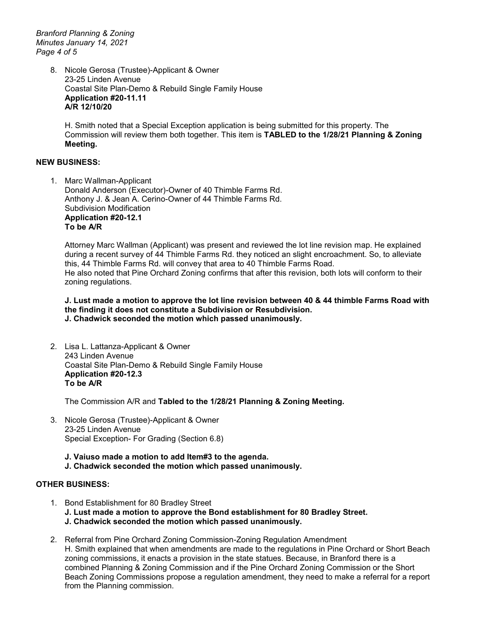*Branford Planning & Zoning Minutes January 14, 2021 Page 4 of 5*

> 8. Nicole Gerosa (Trustee)-Applicant & Owner 23-25 Linden Avenue Coastal Site Plan-Demo & Rebuild Single Family House **Application #20-11.11 A/R 12/10/20**

H. Smith noted that a Special Exception application is being submitted for this property. The Commission will review them both together. This item is **TABLED to the 1/28/21 Planning & Zoning Meeting.** 

#### **NEW BUSINESS:**

1. Marc Wallman-Applicant Donald Anderson (Executor)-Owner of 40 Thimble Farms Rd. Anthony J. & Jean A. Cerino-Owner of 44 Thimble Farms Rd. Subdivision Modification **Application #20-12.1 To be A/R**

Attorney Marc Wallman (Applicant) was present and reviewed the lot line revision map. He explained during a recent survey of 44 Thimble Farms Rd. they noticed an slight encroachment. So, to alleviate this, 44 Thimble Farms Rd. will convey that area to 40 Thimble Farms Road. He also noted that Pine Orchard Zoning confirms that after this revision, both lots will conform to their zoning regulations.

**J. Lust made a motion to approve the lot line revision between 40 & 44 thimble Farms Road with the finding it does not constitute a Subdivision or Resubdivision. J. Chadwick seconded the motion which passed unanimously.** 

2. Lisa L. Lattanza-Applicant & Owner 243 Linden Avenue Coastal Site Plan-Demo & Rebuild Single Family House **Application #20-12.3 To be A/R**

The Commission A/R and **Tabled to the 1/28/21 Planning & Zoning Meeting.** 

- 3. Nicole Gerosa (Trustee)-Applicant & Owner 23-25 Linden Avenue Special Exception- For Grading (Section 6.8)
	- **J. Vaiuso made a motion to add Item#3 to the agenda. J. Chadwick seconded the motion which passed unanimously.**

# **OTHER BUSINESS:**

- 1. Bond Establishment for 80 Bradley Street **J. Lust made a motion to approve the Bond establishment for 80 Bradley Street. J. Chadwick seconded the motion which passed unanimously.**
- 2. Referral from Pine Orchard Zoning Commission-Zoning Regulation Amendment H. Smith explained that when amendments are made to the regulations in Pine Orchard or Short Beach zoning commissions, it enacts a provision in the state statues. Because, in Branford there is a combined Planning & Zoning Commission and if the Pine Orchard Zoning Commission or the Short Beach Zoning Commissions propose a regulation amendment, they need to make a referral for a report from the Planning commission.